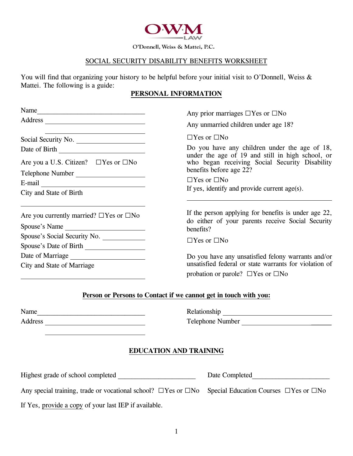

O'Donnell, Weiss & Mattei, P.C.

#### SOCIAL SECURITY DISABILITY BENEFITS WORKSHEET

You will find that organizing your history to be helpful before your initial visit to O'Donnell, Weiss & Mattei. The following is a guide:

#### **PERSONAL INFORMATION**

| Any prior marriages $\Box$ Yes or $\Box$ No                                                                                   |
|-------------------------------------------------------------------------------------------------------------------------------|
| Any unmarried children under age 18?                                                                                          |
| $\Box$ Yes or $\Box$ No                                                                                                       |
| Do you have any children under the age of 18,                                                                                 |
| under the age of 19 and still in high school, or<br>who began receiving Social Security Disability<br>benefits before age 22? |
| $\Box$ Yes or $\Box$ No                                                                                                       |
| If yes, identify and provide current age(s).                                                                                  |
| If the person applying for benefits is under age 22,<br>do either of your parents receive Social Security                     |
| benefits?                                                                                                                     |
| $\Box$ Yes or $\Box$ No                                                                                                       |
|                                                                                                                               |
| Do you have any unsatisfied felony warrants and/or                                                                            |
| unsatisfied federal or state warrants for violation of                                                                        |
| probation or parole? $\Box$ Yes or $\Box$ No                                                                                  |
| Person or Persons to Contact if we cannot get in touch with you:                                                              |
|                                                                                                                               |

### **Person or Persons to Contact if we cannot get in touch with you:**

| Name    | Relationship |
|---------|--------------|
| Address | Telephone N  |

| Name    | Refationship     |
|---------|------------------|
| Address | Telephone Number |

#### **EDUCATION AND TRAINING**

| Highest grade of school completed                                                                                                       | Date Completed |  |  |
|-----------------------------------------------------------------------------------------------------------------------------------------|----------------|--|--|
| Any special training, trade or vocational school? $\square$ Yes or $\square$ No Special Education Courses $\square$ Yes or $\square$ No |                |  |  |

If Yes, provide a copy of your last IEP if available.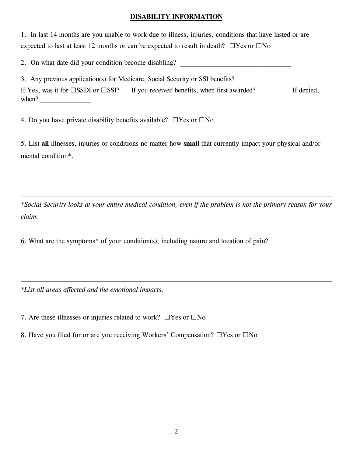### **DISABILITY INFORMATION**

1. In last 14 months are you unable to work due to illness, injuries, conditions that have lasted or are expected to last at least 12 months or can be expected to result in death? **□**Yes or **□**No

2. On what date did your condition become disabling?

3. Any previous application(s) for Medicare, Social Security or SSI benefits? If Yes, was it for **□**SSDI or **□**SSI? If you received benefits, when first awarded? If denied, when?  $\qquad \qquad$ 

4. Do you have private disability benefits available? **□**Yes or **□**No

5. List **all** illnesses, injuries or conditions no matter how **small** that currently impact your physical and/or mental condition\*.

*\*Social Security looks at your entire medical condition, even if the problem is not the primary reason for your claim.* 

6. What are the symptoms\* of your condition(s), including nature and location of pain?

*\*List all areas affected and the emotional impacts.*

7. Are these illnesses or injuries related to work? **□**Yes or **□**No

8. Have you filed for or are you receiving Workers' Compensation? **□**Yes or **□**No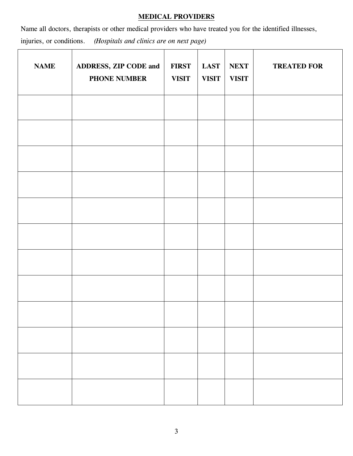### **MEDICAL PROVIDERS**

Name all doctors, therapists or other medical providers who have treated you for the identified illnesses, injuries, or conditions. *(Hospitals and clinics are on next page)*

| <b>NAME</b> | ADDRESS, ZIP CODE and<br>PHONE NUMBER | <b>FIRST</b><br><b>VISIT</b> | <b>LAST</b><br><b>VISIT</b> | <b>NEXT</b><br><b>VISIT</b> | <b>TREATED FOR</b> |
|-------------|---------------------------------------|------------------------------|-----------------------------|-----------------------------|--------------------|
|             |                                       |                              |                             |                             |                    |
|             |                                       |                              |                             |                             |                    |
|             |                                       |                              |                             |                             |                    |
|             |                                       |                              |                             |                             |                    |
|             |                                       |                              |                             |                             |                    |
|             |                                       |                              |                             |                             |                    |
|             |                                       |                              |                             |                             |                    |
|             |                                       |                              |                             |                             |                    |
|             |                                       |                              |                             |                             |                    |
|             |                                       |                              |                             |                             |                    |
|             |                                       |                              |                             |                             |                    |
|             |                                       |                              |                             |                             |                    |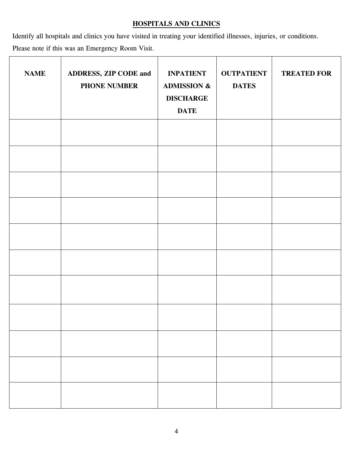## **HOSPITALS AND CLINICS**

Identify all hospitals and clinics you have visited in treating your identified illnesses, injuries, or conditions. Please note if this was an Emergency Room Visit.

| <b>NAME</b> | ADDRESS, ZIP CODE and<br>PHONE NUMBER | <b>INPATIENT</b><br><b>ADMISSION &amp;</b><br><b>DISCHARGE</b><br><b>DATE</b> | <b>OUTPATIENT</b><br><b>DATES</b> | <b>TREATED FOR</b> |  |
|-------------|---------------------------------------|-------------------------------------------------------------------------------|-----------------------------------|--------------------|--|
|             |                                       |                                                                               |                                   |                    |  |
|             |                                       |                                                                               |                                   |                    |  |
|             |                                       |                                                                               |                                   |                    |  |
|             |                                       |                                                                               |                                   |                    |  |
|             |                                       |                                                                               |                                   |                    |  |
|             |                                       |                                                                               |                                   |                    |  |
|             |                                       |                                                                               |                                   |                    |  |
|             |                                       |                                                                               |                                   |                    |  |
|             |                                       |                                                                               |                                   |                    |  |
|             |                                       |                                                                               |                                   |                    |  |
|             |                                       |                                                                               |                                   |                    |  |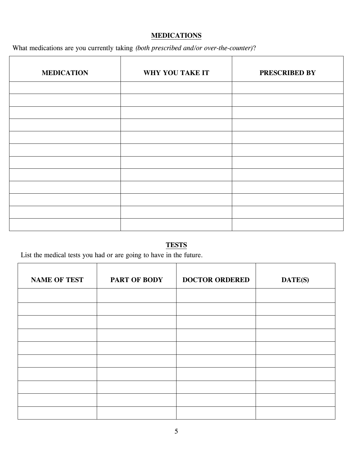## **MEDICATIONS**

What medications are you currently taking *(both prescribed and/or over-the-counter)*?

| <b>MEDICATION</b> | WHY YOU TAKE IT | PRESCRIBED BY |
|-------------------|-----------------|---------------|
|                   |                 |               |
|                   |                 |               |
|                   |                 |               |
|                   |                 |               |
|                   |                 |               |
|                   |                 |               |
|                   |                 |               |
|                   |                 |               |
|                   |                 |               |
|                   |                 |               |
|                   |                 |               |
|                   |                 |               |

# **TESTS**

List the medical tests you had or are going to have in the future.

| <b>NAME OF TEST</b> | <b>PART OF BODY</b> | <b>DOCTOR ORDERED</b> | DATE(S) |
|---------------------|---------------------|-----------------------|---------|
|                     |                     |                       |         |
|                     |                     |                       |         |
|                     |                     |                       |         |
|                     |                     |                       |         |
|                     |                     |                       |         |
|                     |                     |                       |         |
|                     |                     |                       |         |
|                     |                     |                       |         |
|                     |                     |                       |         |
|                     |                     |                       |         |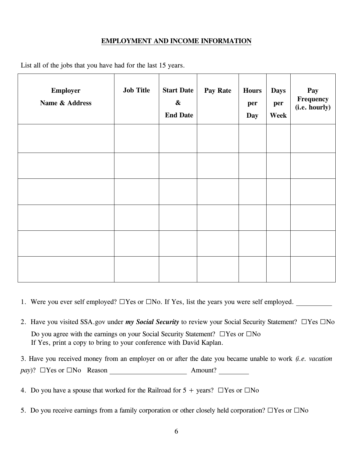### **EMPLOYMENT AND INCOME INFORMATION**

| <b>Employer</b><br>Name & Address | <b>Job Title</b> | <b>Start Date</b><br>$\boldsymbol{\&}$<br><b>End Date</b> | Pay Rate | <b>Hours</b><br>per<br>Day | <b>Days</b><br>per<br>Week | Pay<br>Frequency<br>(i.e. hourly) |
|-----------------------------------|------------------|-----------------------------------------------------------|----------|----------------------------|----------------------------|-----------------------------------|
|                                   |                  |                                                           |          |                            |                            |                                   |
|                                   |                  |                                                           |          |                            |                            |                                   |
|                                   |                  |                                                           |          |                            |                            |                                   |
|                                   |                  |                                                           |          |                            |                            |                                   |
|                                   |                  |                                                           |          |                            |                            |                                   |
|                                   |                  |                                                           |          |                            |                            |                                   |

List all of the jobs that you have had for the last 15 years.

- 1. Were you ever self employed? **□**Yes or **□**No. If Yes, list the years you were self employed.
- 2. Have you visited SSA.gov under *my Social Security* to review your Social Security Statement? **□**Yes **□**No Do you agree with the earnings on your Social Security Statement? **□**Yes or **□**No If Yes, print a copy to bring to your conference with David Kaplan.
- 3. Have you received money from an employer on or after the date you became unable to work *(i.e. vacation pay*)? □Yes or □No Reason Amount?
- 4. Do you have a spouse that worked for the Railroad for 5 + years? **□**Yes or **□**No
- 5. Do you receive earnings from a family corporation or other closely held corporation? **□**Yes or **□**No